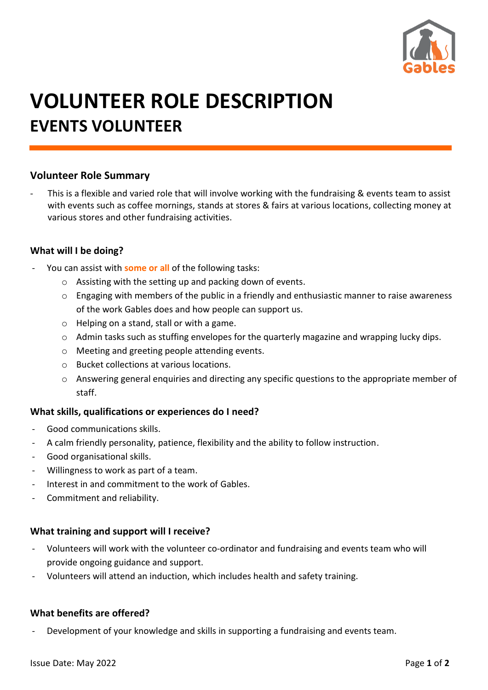

# **VOLUNTEER ROLE DESCRIPTION EVENTS VOLUNTEER**

## **Volunteer Role Summary**

This is a flexible and varied role that will involve working with the fundraising & events team to assist with events such as coffee mornings, stands at stores & fairs at various locations, collecting money at various stores and other fundraising activities.

#### **What will I be doing?**

- You can assist with **some or all** of the following tasks:
	- o Assisting with the setting up and packing down of events.
	- o Engaging with members of the public in a friendly and enthusiastic manner to raise awareness of the work Gables does and how people can support us.
	- o Helping on a stand, stall or with a game.
	- o Admin tasks such as stuffing envelopes for the quarterly magazine and wrapping lucky dips.
	- o Meeting and greeting people attending events.
	- o Bucket collections at various locations.
	- o Answering general enquiries and directing any specific questions to the appropriate member of staff.

## **What skills, qualifications or experiences do I need?**

- Good communications skills.
- A calm friendly personality, patience, flexibility and the ability to follow instruction.
- Good organisational skills.
- Willingness to work as part of a team.
- Interest in and commitment to the work of Gables.
- Commitment and reliability.

## **What training and support will I receive?**

- Volunteers will work with the volunteer co-ordinator and fundraising and events team who will provide ongoing guidance and support.
- Volunteers will attend an induction, which includes health and safety training.

## **What benefits are offered?**

Development of your knowledge and skills in supporting a fundraising and events team.